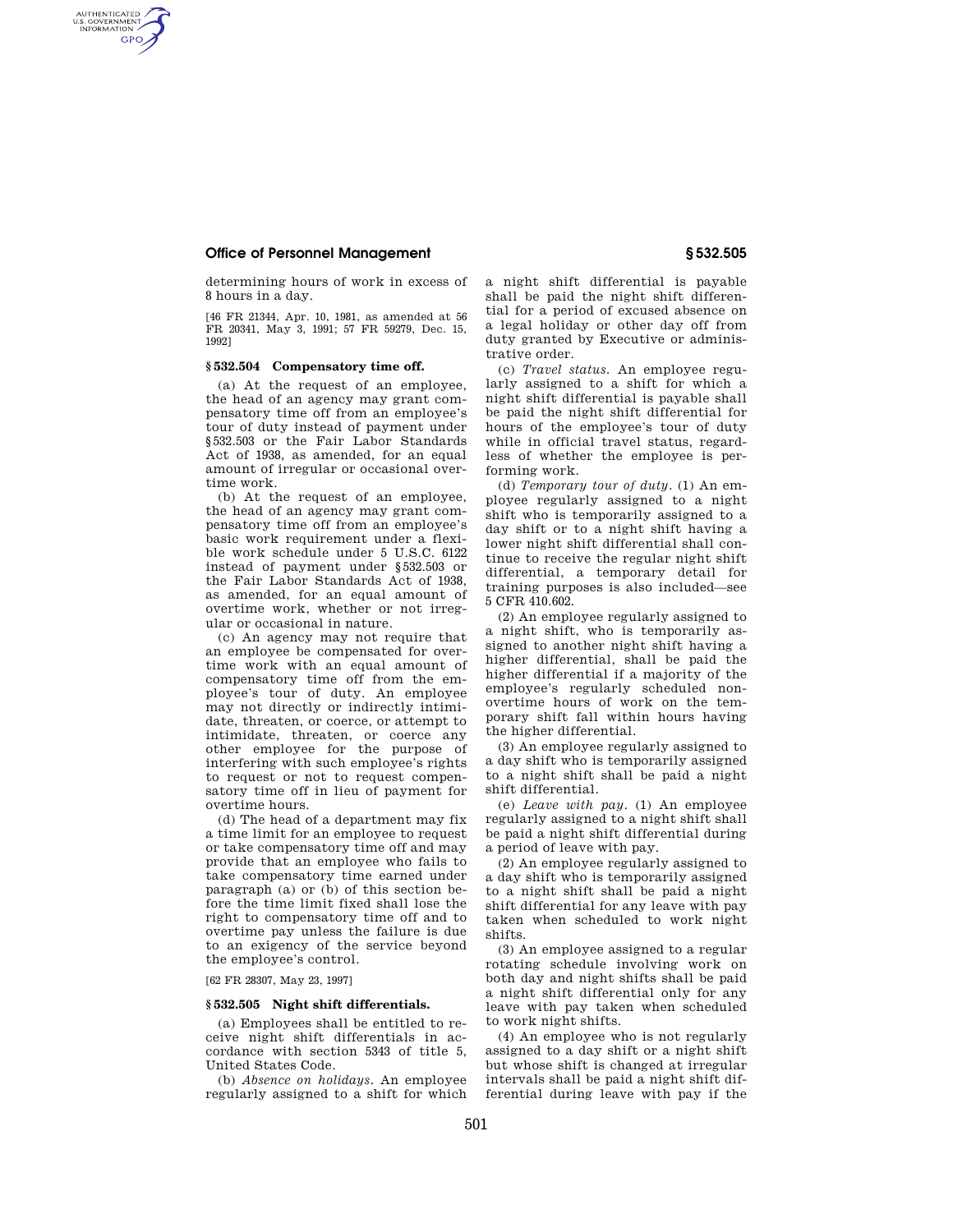# **Office of Personnel Management § 532.505**

AUTHENTICATED<br>U.S. GOVERNMENT<br>INFORMATION **GPO** 

> determining hours of work in excess of 8 hours in a day.

> [46 FR 21344, Apr. 10, 1981, as amended at 56 FR 20341, May 3, 1991; 57 FR 59279, Dec. 15, 1992]

#### **§ 532.504 Compensatory time off.**

(a) At the request of an employee, the head of an agency may grant compensatory time off from an employee's tour of duty instead of payment under §532.503 or the Fair Labor Standards Act of 1938, as amended, for an equal amount of irregular or occasional overtime work.

(b) At the request of an employee, the head of an agency may grant compensatory time off from an employee's basic work requirement under a flexible work schedule under 5 U.S.C. 6122 instead of payment under §532.503 or the Fair Labor Standards Act of 1938, as amended, for an equal amount of overtime work, whether or not irregular or occasional in nature.

(c) An agency may not require that an employee be compensated for overtime work with an equal amount of compensatory time off from the employee's tour of duty. An employee may not directly or indirectly intimidate, threaten, or coerce, or attempt to intimidate, threaten, or coerce any other employee for the purpose of interfering with such employee's rights to request or not to request compensatory time off in lieu of payment for overtime hours.

(d) The head of a department may fix a time limit for an employee to request or take compensatory time off and may provide that an employee who fails to take compensatory time earned under paragraph (a) or (b) of this section before the time limit fixed shall lose the right to compensatory time off and to overtime pay unless the failure is due to an exigency of the service beyond the employee's control.

[62 FR 28307, May 23, 1997]

#### **§ 532.505 Night shift differentials.**

(a) Employees shall be entitled to receive night shift differentials in accordance with section 5343 of title 5, United States Code.

(b) *Absence on holidays.* An employee regularly assigned to a shift for which a night shift differential is payable shall be paid the night shift differential for a period of excused absence on a legal holiday or other day off from duty granted by Executive or administrative order.

(c) *Travel status.* An employee regularly assigned to a shift for which a night shift differential is payable shall be paid the night shift differential for hours of the employee's tour of duty while in official travel status, regardless of whether the employee is performing work.

(d) *Temporary tour of duty.* (1) An employee regularly assigned to a night shift who is temporarily assigned to a day shift or to a night shift having a lower night shift differential shall continue to receive the regular night shift differential, a temporary detail for training purposes is also included—see 5 CFR 410.602.

(2) An employee regularly assigned to a night shift, who is temporarily assigned to another night shift having a higher differential, shall be paid the higher differential if a majority of the employee's regularly scheduled nonovertime hours of work on the temporary shift fall within hours having the higher differential.

(3) An employee regularly assigned to a day shift who is temporarily assigned to a night shift shall be paid a night shift differential.

(e) *Leave with pay.* (1) An employee regularly assigned to a night shift shall be paid a night shift differential during a period of leave with pay.

(2) An employee regularly assigned to a day shift who is temporarily assigned to a night shift shall be paid a night shift differential for any leave with pay taken when scheduled to work night shifts.

(3) An employee assigned to a regular rotating schedule involving work on both day and night shifts shall be paid a night shift differential only for any leave with pay taken when scheduled to work night shifts.

(4) An employee who is not regularly assigned to a day shift or a night shift but whose shift is changed at irregular intervals shall be paid a night shift differential during leave with pay if the